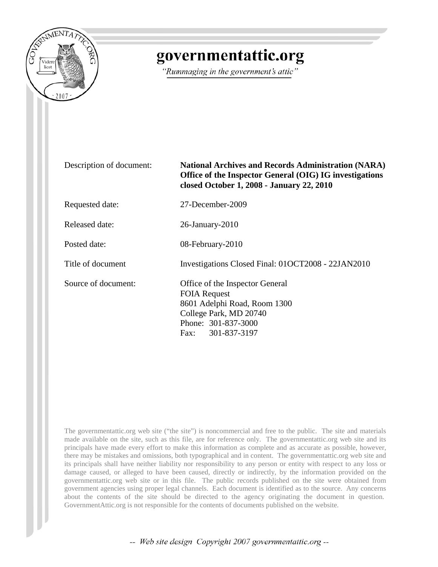

## governmentattic.org

"Rummaging in the government's attic"

| Description of document: | <b>National Archives and Records Administration (NARA)</b><br>Office of the Inspector General (OIG) IG investigations<br>closed October 1, 2008 - January 22, 2010 |  |
|--------------------------|--------------------------------------------------------------------------------------------------------------------------------------------------------------------|--|
| Requested date:          | 27-December-2009                                                                                                                                                   |  |
| Released date:           | $26$ -January- $2010$                                                                                                                                              |  |
| Posted date:             | 08-February-2010                                                                                                                                                   |  |
| Title of document        | Investigations Closed Final: 010CT2008 - 22JAN2010                                                                                                                 |  |
| Source of document:      | Office of the Inspector General<br><b>FOIA Request</b><br>8601 Adelphi Road, Room 1300<br>College Park, MD 20740<br>Phone: 301-837-3000<br>Fax: 301-837-3197       |  |

The governmentattic.org web site ("the site") is noncommercial and free to the public. The site and materials made available on the site, such as this file, are for reference only. The governmentattic.org web site and its principals have made every effort to make this information as complete and as accurate as possible, however, there may be mistakes and omissions, both typographical and in content. The governmentattic.org web site and its principals shall have neither liability nor responsibility to any person or entity with respect to any loss or damage caused, or alleged to have been caused, directly or indirectly, by the information provided on the governmentattic.org web site or in this file. The public records published on the site were obtained from government agencies using proper legal channels. Each document is identified as to the source. Any concerns about the contents of the site should be directed to the agency originating the document in question. GovernmentAttic.org is not responsible for the contents of documents published on the website.

-- Web site design Copyright 2007 governmentattic.org --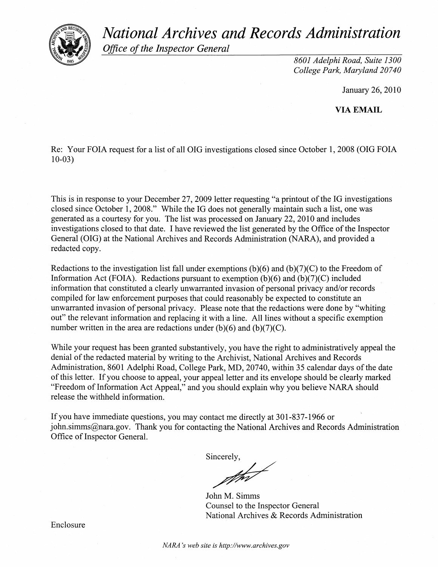*National Archives and Records Administration* 



*Office of the Inspector General* 

*8601 Adelphi Road, Suite 1300 College Park, Maryland 20740* 

January 26,2010

VIA EMAIL

Re: Your FOIA request for a list of all OIG investigations closed since October 1, 2008 (OIG FOIA 10-03)

This is in response to your December 27, 2009 letter requesting "a printout of the IG investigations closed since October 1,2008." While the IG does not generally maintain such a list, one was generated as a courtesy for you. The list was processed on January 22,2010 and includes investigations closed to that date. I have reviewed the list generated by the Office of the Inspector General (OIG) at the National Archives and Records Administration (NARA), and provided a redacted copy.

Redactions to the investigation list fall under exemptions  $(b)(6)$  and  $(b)(7)(C)$  to the Freedom of Information Act (FOIA). Redactions pursuant to exemption  $(b)(6)$  and  $(b)(7)(C)$  included information that constituted a clearly unwarranted invasion of personal privacy and/or records compiled for law enforcement purposes that could reasonably be expected to constitute an unwarranted invasion of personal privacy. Please note that the redactions were done by "whiting out" the relevant information and replacing it with a line. All lines without a specific exemption number written in the area are redactions under  $(b)(6)$  and  $(b)(7)(C)$ .

While your request has been granted substantively, you have the right to administratively appeal the denial of the redacted material by writing to the Archivist, National Archives and Records Administration, 8601 Adelphi Road, College Park, MD, 20740, within 35 calendar days of the date of this letter. If you choose to appeal, your appeal letter and its envelope should be clearly marked "Freedom of Information Act Appeal," and you should explain why you believe NARA should release the withheld information.

If you have immediate questions, you may contact me directly at 301-837-1966 or john,simms@nara.gov. Thank you for contacting the National Archives and Records Administration Office of Inspector General.

Sincerely,

erely,

John M. Simms Counsel to the Inspector General National Archives & Records Administration

Enclosure